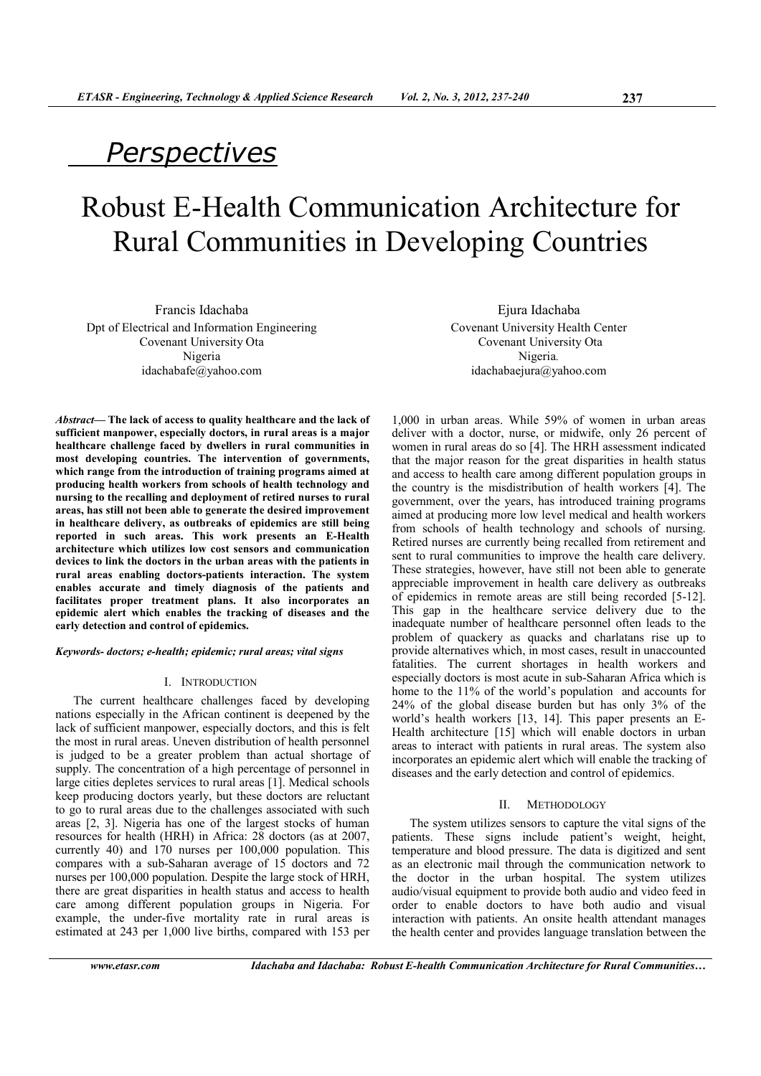# *Perspectives*

# Robust E-Health Communication Architecture for Rural Communities in Developing Countries

Francis Idachaba Dpt of Electrical and Information Engineering Covenant University Ota Nigeria idachabafe@yahoo.com

*Abstract***— The lack of access to quality healthcare and the lack of sufficient manpower, especially doctors, in rural areas is a major healthcare challenge faced by dwellers in rural communities in most developing countries. The intervention of governments, which range from the introduction of training programs aimed at producing health workers from schools of health technology and nursing to the recalling and deployment of retired nurses to rural areas, has still not been able to generate the desired improvement in healthcare delivery, as outbreaks of epidemics are still being reported in such areas. This work presents an E-Health architecture which utilizes low cost sensors and communication devices to link the doctors in the urban areas with the patients in rural areas enabling doctors-patients interaction. The system enables accurate and timely diagnosis of the patients and facilitates proper treatment plans. It also incorporates an epidemic alert which enables the tracking of diseases and the early detection and control of epidemics.** 

*Keywords- doctors; e-health; epidemic; rural areas; vital signs* 

# I. INTRODUCTION

The current healthcare challenges faced by developing nations especially in the African continent is deepened by the lack of sufficient manpower, especially doctors, and this is felt the most in rural areas. Uneven distribution of health personnel is judged to be a greater problem than actual shortage of supply. The concentration of a high percentage of personnel in large cities depletes services to rural areas [1]. Medical schools keep producing doctors yearly, but these doctors are reluctant to go to rural areas due to the challenges associated with such areas [2, 3]. Nigeria has one of the largest stocks of human resources for health (HRH) in Africa: 28 doctors (as at 2007, currently 40) and 170 nurses per 100,000 population. This compares with a sub-Saharan average of 15 doctors and 72 nurses per 100,000 population. Despite the large stock of HRH, there are great disparities in health status and access to health care among different population groups in Nigeria. For example, the under-five mortality rate in rural areas is estimated at 243 per 1,000 live births, compared with 153 per

Ejura Idachaba Covenant University Health Center Covenant University Ota Nigeria*.* idachabaejura@yahoo.com

1,000 in urban areas. While 59% of women in urban areas deliver with a doctor, nurse, or midwife, only 26 percent of women in rural areas do so [4]. The HRH assessment indicated that the major reason for the great disparities in health status and access to health care among different population groups in the country is the misdistribution of health workers [4]. The government, over the years, has introduced training programs aimed at producing more low level medical and health workers from schools of health technology and schools of nursing. Retired nurses are currently being recalled from retirement and sent to rural communities to improve the health care delivery. These strategies, however, have still not been able to generate appreciable improvement in health care delivery as outbreaks of epidemics in remote areas are still being recorded [5-12]. This gap in the healthcare service delivery due to the inadequate number of healthcare personnel often leads to the problem of quackery as quacks and charlatans rise up to provide alternatives which, in most cases, result in unaccounted fatalities. The current shortages in health workers and especially doctors is most acute in sub-Saharan Africa which is home to the 11% of the world's population and accounts for 24% of the global disease burden but has only 3% of the world's health workers [13, 14]. This paper presents an E-Health architecture [15] which will enable doctors in urban areas to interact with patients in rural areas. The system also incorporates an epidemic alert which will enable the tracking of diseases and the early detection and control of epidemics.

#### II. METHODOLOGY

The system utilizes sensors to capture the vital signs of the patients. These signs include patient's weight, height, temperature and blood pressure. The data is digitized and sent as an electronic mail through the communication network to the doctor in the urban hospital. The system utilizes audio/visual equipment to provide both audio and video feed in order to enable doctors to have both audio and visual interaction with patients. An onsite health attendant manages the health center and provides language translation between the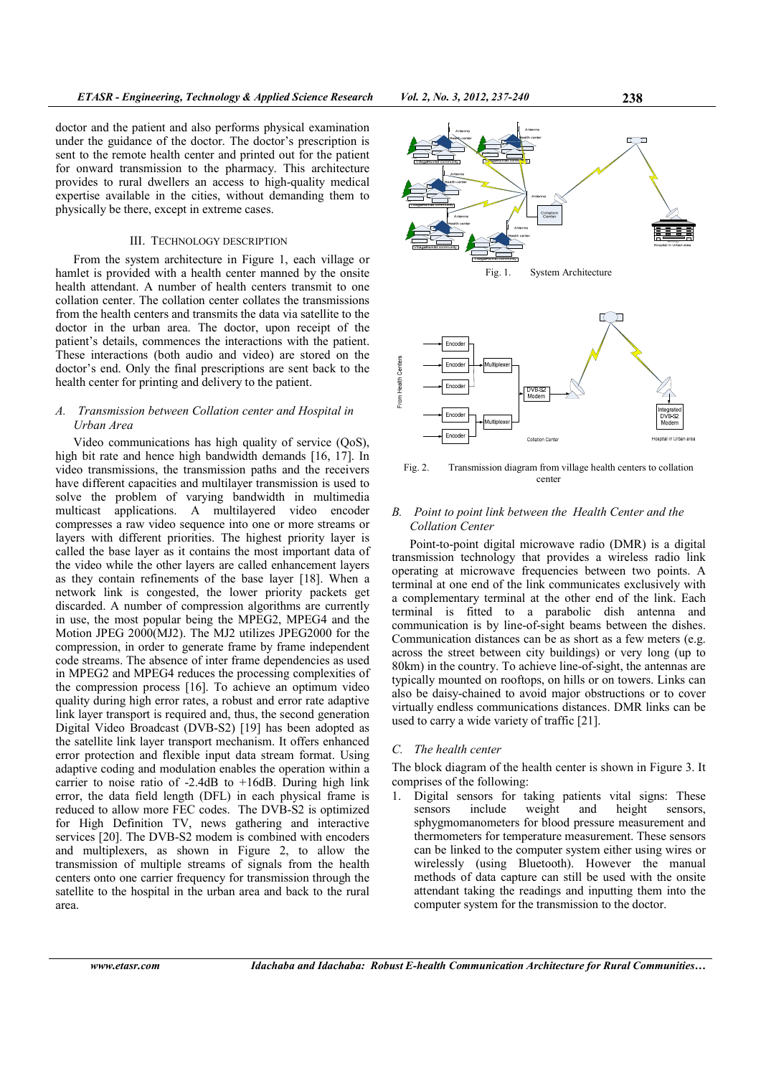doctor and the patient and also performs physical examination under the guidance of the doctor. The doctor's prescription is sent to the remote health center and printed out for the patient for onward transmission to the pharmacy. This architecture provides to rural dwellers an access to high-quality medical expertise available in the cities, without demanding them to physically be there, except in extreme cases.

## III. TECHNOLOGY DESCRIPTION

From the system architecture in Figure 1, each village or hamlet is provided with a health center manned by the onsite health attendant. A number of health centers transmit to one collation center. The collation center collates the transmissions from the health centers and transmits the data via satellite to the doctor in the urban area. The doctor, upon receipt of the patient's details, commences the interactions with the patient. These interactions (both audio and video) are stored on the doctor's end. Only the final prescriptions are sent back to the health center for printing and delivery to the patient.

# *A. Transmission between Collation center and Hospital in Urban Area*

Video communications has high quality of service (QoS), high bit rate and hence high bandwidth demands [16, 17]. In video transmissions, the transmission paths and the receivers have different capacities and multilayer transmission is used to solve the problem of varying bandwidth in multimedia multicast applications. A multilayered video encoder compresses a raw video sequence into one or more streams or layers with different priorities. The highest priority layer is called the base layer as it contains the most important data of the video while the other layers are called enhancement layers as they contain refinements of the base layer [18]. When a network link is congested, the lower priority packets get discarded. A number of compression algorithms are currently in use, the most popular being the MPEG2, MPEG4 and the Motion JPEG 2000(MJ2). The MJ2 utilizes JPEG2000 for the compression, in order to generate frame by frame independent code streams. The absence of inter frame dependencies as used in MPEG2 and MPEG4 reduces the processing complexities of the compression process [16]. To achieve an optimum video quality during high error rates, a robust and error rate adaptive link layer transport is required and, thus, the second generation Digital Video Broadcast (DVB-S2) [19] has been adopted as the satellite link layer transport mechanism. It offers enhanced error protection and flexible input data stream format. Using adaptive coding and modulation enables the operation within a carrier to noise ratio of  $-2.4$ dB to  $+16$ dB. During high link error, the data field length (DFL) in each physical frame is reduced to allow more FEC codes. The DVB-S2 is optimized for High Definition TV, news gathering and interactive services [20]. The DVB-S2 modem is combined with encoders and multiplexers, as shown in Figure 2, to allow the transmission of multiple streams of signals from the health centers onto one carrier frequency for transmission through the satellite to the hospital in the urban area and back to the rural area.



Fig. 2. Transmission diagram from village health centers to collation center

# *B. Point to point link between the Health Center and the Collation Center*

Point-to-point digital microwave radio (DMR) is a digital transmission technology that provides a wireless radio link operating at microwave frequencies between two points. A terminal at one end of the link communicates exclusively with a complementary terminal at the other end of the link. Each terminal is fitted to a parabolic dish antenna and communication is by line-of-sight beams between the dishes. Communication distances can be as short as a few meters (e.g. across the street between city buildings) or very long (up to 80km) in the country. To achieve line-of-sight, the antennas are typically mounted on rooftops, on hills or on towers. Links can also be daisy-chained to avoid major obstructions or to cover virtually endless communications distances. DMR links can be used to carry a wide variety of traffic [21].

#### *C. The health center*

The block diagram of the health center is shown in Figure 3. It comprises of the following:

1. Digital sensors for taking patients vital signs: These sensors include weight and height sensors, sphygmomanometers for blood pressure measurement and thermometers for temperature measurement. These sensors can be linked to the computer system either using wires or wirelessly (using Bluetooth). However the manual methods of data capture can still be used with the onsite attendant taking the readings and inputting them into the computer system for the transmission to the doctor.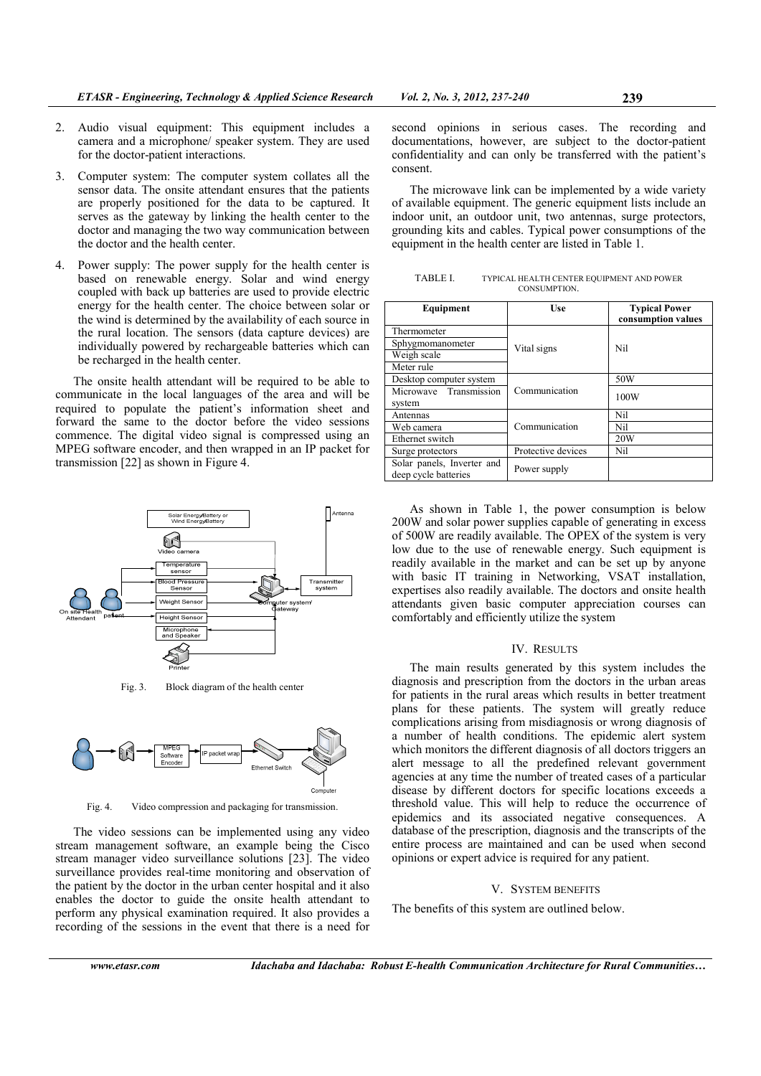- 2. Audio visual equipment: This equipment includes a camera and a microphone/ speaker system. They are used for the doctor-patient interactions.
- 3. Computer system: The computer system collates all the sensor data. The onsite attendant ensures that the patients are properly positioned for the data to be captured. It serves as the gateway by linking the health center to the doctor and managing the two way communication between the doctor and the health center.
- 4. Power supply: The power supply for the health center is based on renewable energy. Solar and wind energy coupled with back up batteries are used to provide electric energy for the health center. The choice between solar or the wind is determined by the availability of each source in the rural location. The sensors (data capture devices) are individually powered by rechargeable batteries which can be recharged in the health center.

The onsite health attendant will be required to be able to communicate in the local languages of the area and will be required to populate the patient's information sheet and forward the same to the doctor before the video sessions commence. The digital video signal is compressed using an MPEG software encoder, and then wrapped in an IP packet for transmission [22] as shown in Figure 4.



Fig. 3. Block diagram of the health center



Fig. 4. Video compression and packaging for transmission.

The video sessions can be implemented using any video stream management software, an example being the Cisco stream manager video surveillance solutions [23]. The video surveillance provides real-time monitoring and observation of the patient by the doctor in the urban center hospital and it also enables the doctor to guide the onsite health attendant to perform any physical examination required. It also provides a recording of the sessions in the event that there is a need for

second opinions in serious cases. The recording and documentations, however, are subject to the doctor-patient confidentiality and can only be transferred with the patient's consent.

The microwave link can be implemented by a wide variety of available equipment. The generic equipment lists include an indoor unit, an outdoor unit, two antennas, surge protectors, grounding kits and cables. Typical power consumptions of the equipment in the health center are listed in Table 1.

TABLE I. TYPICAL HEALTH CENTER EQUIPMENT AND POWER CONSUMPTION.

| Equipment                                          | Use                | <b>Typical Power</b><br>consumption values |
|----------------------------------------------------|--------------------|--------------------------------------------|
| Thermometer                                        | Vital signs        | Nil                                        |
| Sphygmomanometer                                   |                    |                                            |
| Weigh scale                                        |                    |                                            |
| Meter rule                                         |                    |                                            |
| Desktop computer system                            | Communication      | 50W                                        |
| Microwave Transmission                             |                    | 100W                                       |
| system                                             |                    |                                            |
| Antennas                                           | Communication      | Nil                                        |
| Web camera                                         |                    | Nil                                        |
| Ethernet switch                                    |                    | 20W                                        |
| Surge protectors                                   | Protective devices | Nil                                        |
| Solar panels, Inverter and<br>deep cycle batteries | Power supply       |                                            |

As shown in Table 1, the power consumption is below 200W and solar power supplies capable of generating in excess of 500W are readily available. The OPEX of the system is very low due to the use of renewable energy. Such equipment is readily available in the market and can be set up by anyone with basic IT training in Networking, VSAT installation, expertises also readily available. The doctors and onsite health attendants given basic computer appreciation courses can comfortably and efficiently utilize the system

# IV. RESULTS

The main results generated by this system includes the diagnosis and prescription from the doctors in the urban areas for patients in the rural areas which results in better treatment plans for these patients. The system will greatly reduce complications arising from misdiagnosis or wrong diagnosis of a number of health conditions. The epidemic alert system which monitors the different diagnosis of all doctors triggers an alert message to all the predefined relevant government agencies at any time the number of treated cases of a particular disease by different doctors for specific locations exceeds a threshold value. This will help to reduce the occurrence of epidemics and its associated negative consequences. A database of the prescription, diagnosis and the transcripts of the entire process are maintained and can be used when second opinions or expert advice is required for any patient.

# V. SYSTEM BENEFITS

The benefits of this system are outlined below.